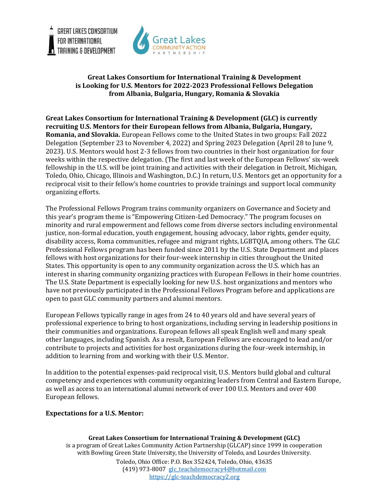



## **Great Lakes Consortium for International Training & Development is Looking for U.S. Mentors for 2022-2023 Professional Fellows Delegation from Albania, Bulgaria, Hungary, Romania & Slovakia**

**Great Lakes Consortium for International Training & Development (GLC) is currently recruiting U.S. Mentors for their European fellows from Albania, Bulgaria, Hungary, Romania, and Slovakia.** European Fellows come to the United States in two groups: Fall 2022 Delegation (September 23 to November 4, 2022) and Spring 2023 Delegation (April 28 to June 9, 2023). U.S. Mentors would host 2-3 fellows from two countries in their host organization for four weeks within the respective delegation. (The first and last week of the European Fellows' six-week fellowship in the U.S. will be joint training and activities with their delegation in Detroit, Michigan, Toledo, Ohio, Chicago, Illinois and Washington, D.C.) In return, U.S. Mentors get an opportunity for a reciprocal visit to their fellow's home countries to provide trainings and support local community organizing efforts.

The Professional Fellows Program trains community organizers on Governance and Society and this year's program theme is "Empowering Citizen-Led Democracy." The program focuses on minority and rural empowerment and fellows come from diverse sectors including environmental justice, non-formal education, youth engagement, housing advocacy, labor rights, gender equity, disability access, Roma communities, refugee and migrant rights, LGBTQIA, among others. The GLC Professional Fellows program has been funded since 2011 by the U.S. State Department and places fellows with host organizations for their four-week internship in cities throughout the United States. This opportunity is open to any community organization across the U.S. which has an interest in sharing community organizing practices with European Fellows in their home countries. The U.S. State Department is especially looking for new U.S. host organizations and mentors who have not previously participated in the Professional Fellows Program before and applications are open to past GLC community partners and alumni mentors.

European Fellows typically range in ages from 24 to 40 years old and have several years of professional experience to bring to host organizations, including serving in leadership positions in their communities and organizations. European fellows all speak English well and many speak other languages, including Spanish. As a result, European Fellows are encouraged to lead and/or contribute to projects and activities for host organizations during the four-week internship, in addition to learning from and working with their U.S. Mentor.

In addition to the potential expenses-paid reciprocal visit, U.S. Mentors build global and cultural competency and experiences with community organizing leaders from Central and Eastern Europe, as well as access to an international alumni network of over 100 U.S. Mentors and over 400 European fellows.

## **Expectations for a U.S. Mentor:**

**Great Lakes Consortium for International Training & Development (GLC)** is a program of Great Lakes Community Action Partnership (GLCAP) since 1999 in cooperation with Bowling Green State University, the University of Toledo, and Lourdes University. Toledo, Ohio Office: P.O. Box 352424, Toledo, Ohio, 43635 (419) 973-8007 [glc\\_teachdemocracy4@hotmail.com](mailto:glc_teachdemocracy4@hotmail.com) [https://glc-teachdemocracy2.org](https://glc-teachdemocracy2.org/)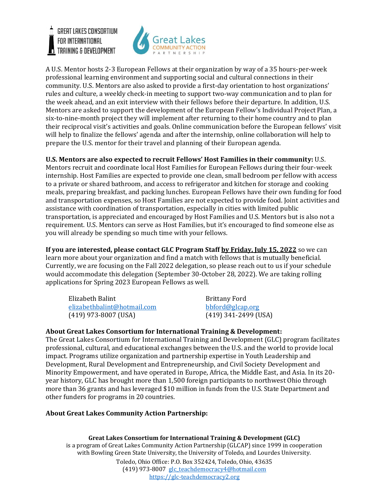**GREAT LAKES CONSORTIUM** FOR INTERNATIONAL TRAINING & DEVELOPMENT



A U.S. Mentor hosts 2-3 European Fellows at their organization by way of a 35 hours-per-week professional learning environment and supporting social and cultural connections in their community. U.S. Mentors are also asked to provide a first-day orientation to host organizations' rules and culture, a weekly check-in meeting to support two-way communication and to plan for the week ahead, and an exit interview with their fellows before their departure. In addition, U.S. Mentors are asked to support the development of the European Fellow's Individual Project Plan, a six-to-nine-month project they will implement after returning to their home country and to plan their reciprocal visit's activities and goals. Online communication before the European fellows' visit will help to finalize the fellows' agenda and after the internship, online collaboration will help to prepare the U.S. mentor for their travel and planning of their European agenda.

**U.S. Mentors are also expected to recruit Fellows' Host Families in their community:** U.S. Mentors recruit and coordinate local Host Families for European Fellows during their four-week internship. Host Families are expected to provide one clean, small bedroom per fellow with access to a private or shared bathroom, and access to refrigerator and kitchen for storage and cooking meals, preparing breakfast, and packing lunches. European Fellows have their own funding for food and transportation expenses, so Host Families are not expected to provide food. Joint activities and assistance with coordination of transportation, especially in cities with limited public transportation, is appreciated and encouraged by Host Families and U.S. Mentors but is also not a requirement. U.S. Mentors can serve as Host Families, but it's encouraged to find someone else as you will already be spending so much time with your fellows.

**If you are interested, please contact GLC Program Staff by Friday, July 15, 2022** so we can learn more about your organization and find a match with fellows that is mutually beneficial. Currently, we are focusing on the Fall 2022 delegation, so please reach out to us if your schedule would accommodate this delegation (September 30-October 28, 2022). We are taking rolling applications for Spring 2023 European Fellows as well.

| Elizabeth Balint            | <b>Brittany Ford</b>   |
|-----------------------------|------------------------|
| elizabethbalint@hotmail.com | bbford@glcap.org       |
| $(419)$ 973-8007 (USA)      | $(419)$ 341-2499 (USA) |

## **About Great Lakes Consortium for International Training & Development:**

The Great Lakes Consortium for International Training and Development (GLC) program facilitates professional, cultural, and educational exchanges between the U.S. and the world to provide local impact. Programs utilize organization and partnership expertise in Youth Leadership and Development, Rural Development and Entrepreneurship, and Civil Society Development and Minority Empowerment, and have operated in Europe, Africa, the Middle East, and Asia. In its 20 year history, GLC has brought more than 1,500 foreign participants to northwest Ohio through more than 36 grants and has leveraged \$10 million in funds from the U.S. State Department and other funders for programs in 20 countries.

## **About Great Lakes Community Action Partnership:**

**Great Lakes Consortium for International Training & Development (GLC)** is a program of Great Lakes Community Action Partnership (GLCAP) since 1999 in cooperation with Bowling Green State University, the University of Toledo, and Lourdes University. Toledo, Ohio Office: P.O. Box 352424, Toledo, Ohio, 43635 (419) 973-8007 [glc\\_teachdemocracy4@hotmail.com](mailto:glc_teachdemocracy4@hotmail.com) [https://glc-teachdemocracy2.org](https://glc-teachdemocracy2.org/)